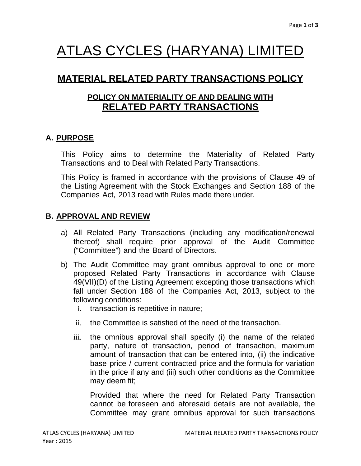# ATLAS CYCLES (HARYANA) LIMITED

# **MATERIAL RELATED PARTY TRANSACTIONS POLICY**

# **POLICY ON MATERIALITY OF AND DEALING WITH RELATED PARTY TRANSACTIONS**

# **A. PURPOSE**

This Policy aims to determine the Materiality of Related Party Transactions and to Deal with Related Party Transactions.

This Policy is framed in accordance with the provisions of Clause 49 of the Listing Agreement with the Stock Exchanges and Section 188 of the Companies Act, 2013 read with Rules made there under.

# **B. APPROVAL AND REVIEW**

- a) All Related Party Transactions (including any modification/renewal thereof) shall require prior approval of the Audit Committee ("Committee") and the Board of Directors.
- b) The Audit Committee may grant omnibus approval to one or more proposed Related Party Transactions in accordance with Clause 49(VII)(D) of the Listing Agreement excepting those transactions which fall under Section 188 of the Companies Act, 2013, subject to the following conditions:
	- i. transaction is repetitive in nature;
	- ii. the Committee is satisfied of the need of the transaction.
	- iii. the omnibus approval shall specify (i) the name of the related party, nature of transaction, period of transaction, maximum amount of transaction that can be entered into, (ii) the indicative base price / current contracted price and the formula for variation in the price if any and (iii) such other conditions as the Committee may deem fit;

Provided that where the need for Related Party Transaction cannot be foreseen and aforesaid details are not available, the Committee may grant omnibus approval for such transactions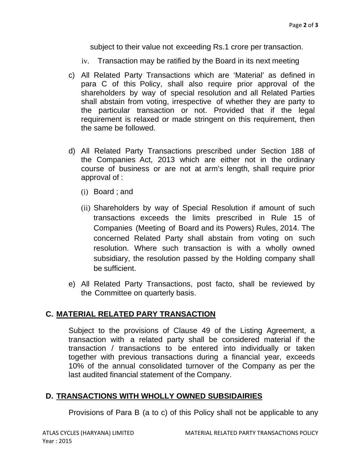subject to their value not exceeding Rs.1 crore per transaction.

- iv. Transaction may be ratified by the Board in its next meeting
- c) All Related Party Transactions which are 'Material' as defined in para C of this Policy, shall also require prior approval of the shareholders by way of special resolution and all Related Parties shall abstain from voting, irrespective of whether they are party to the particular transaction or not. Provided that if the legal requirement is relaxed or made stringent on this requirement, then the same be followed.
- d) All Related Party Transactions prescribed under Section 188 of the Companies Act, 2013 which are either not in the ordinary course of business or are not at arm's length, shall require prior approval of :
	- (i) Board ; and
	- (ii) Shareholders by way of Special Resolution if amount of such transactions exceeds the limits prescribed in Rule 15 of Companies (Meeting of Board and its Powers) Rules, 2014. The concerned Related Party shall abstain from voting on such resolution. Where such transaction is with a wholly owned subsidiary, the resolution passed by the Holding company shall be sufficient.
- e) All Related Party Transactions, post facto, shall be reviewed by the Committee on quarterly basis.

#### **C. MATERIAL RELATED PARY TRANSACTION**

Subject to the provisions of Clause 49 of the Listing Agreement, a transaction with a related party shall be considered material if the transaction / transactions to be entered into individually or taken together with previous transactions during a financial year, exceeds 10% of the annual consolidated turnover of the Company as per the last audited financial statement of the Company.

### **D. TRANSACTIONS WITH WHOLLY OWNED SUBSIDAIRIES**

Provisions of Para B (a to c) of this Policy shall not be applicable to any